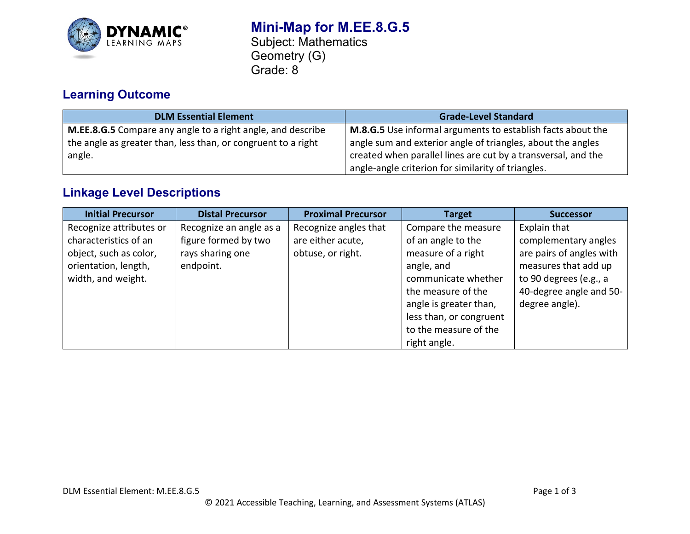

### **Mini-Map for M.EE.8.G.5** Subject: Mathematics Geometry (G) Grade: 8

# **Learning Outcome**

| <b>DLM Essential Element</b>                                                                                                                  | <b>Grade-Level Standard</b>                                                                                                                                                                 |  |
|-----------------------------------------------------------------------------------------------------------------------------------------------|---------------------------------------------------------------------------------------------------------------------------------------------------------------------------------------------|--|
| <b>M.EE.8.G.5</b> Compare any angle to a right angle, and describe<br>the angle as greater than, less than, or congruent to a right<br>angle. | M.8.G.5 Use informal arguments to establish facts about the<br>angle sum and exterior angle of triangles, about the angles<br>created when parallel lines are cut by a transversal, and the |  |
|                                                                                                                                               | angle-angle criterion for similarity of triangles.                                                                                                                                          |  |

## **Linkage Level Descriptions**

| <b>Initial Precursor</b> | <b>Distal Precursor</b> | <b>Proximal Precursor</b> | <b>Target</b>           | <b>Successor</b>         |
|--------------------------|-------------------------|---------------------------|-------------------------|--------------------------|
| Recognize attributes or  | Recognize an angle as a | Recognize angles that     | Compare the measure     | Explain that             |
| characteristics of an    | figure formed by two    | are either acute,         | of an angle to the      | complementary angles     |
| object, such as color,   | rays sharing one        | obtuse, or right.         | measure of a right      | are pairs of angles with |
| orientation, length,     | endpoint.               |                           | angle, and              | measures that add up     |
| width, and weight.       |                         |                           | communicate whether     | to 90 degrees (e.g., a   |
|                          |                         |                           | the measure of the      | 40-degree angle and 50-  |
|                          |                         |                           | angle is greater than,  | degree angle).           |
|                          |                         |                           | less than, or congruent |                          |
|                          |                         |                           | to the measure of the   |                          |
|                          |                         |                           | right angle.            |                          |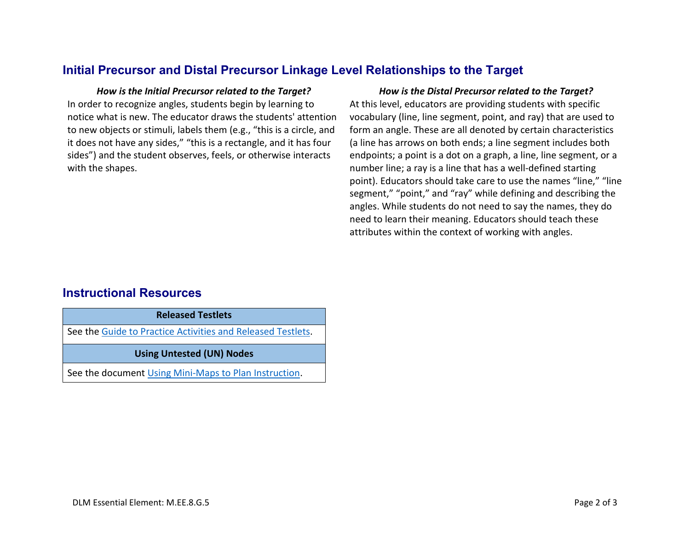### **Initial Precursor and Distal Precursor Linkage Level Relationships to the Target**

In order to recognize angles, students begin by learning to notice what is new. The educator draws the students' attention to new objects or stimuli, labels them (e.g., "this is a circle, and it does not have any sides," "this is a rectangle, and it has four sides") and the student observes, feels, or otherwise interacts with the shapes.

#### *How is the Initial Precursor related to the Target? How is the Distal Precursor related to the Target?*

At this level, educators are providing students with specific vocabulary (line, line segment, point, and ray) that are used to form an angle. These are all denoted by certain characteristics (a line has arrows on both ends; a line segment includes both endpoints; a point is a dot on a graph, a line, line segment, or a number line; a ray is a line that has a well-defined starting point). Educators should take care to use the names "line," "line segment," "point," and "ray" while defining and describing the angles. While students do not need to say the names, they do need to learn their meaning. Educators should teach these attributes within the context of working with angles.

### **Instructional Resources**

**Released Testlets**

See the [Guide to Practice Activities and Released Testlets.](https://dynamiclearningmaps.org/sites/default/files/documents/Manuals_Blueprints/Guide_to_Practice_Activities_and_Released_Testlets.pdf)

**Using Untested (UN) Nodes**

See the document [Using Mini-Maps to Plan Instruction.](https://dynamiclearningmaps.org/sites/default/files/documents/Using_Mini_Maps_to_Plan_Instruction.pdf)